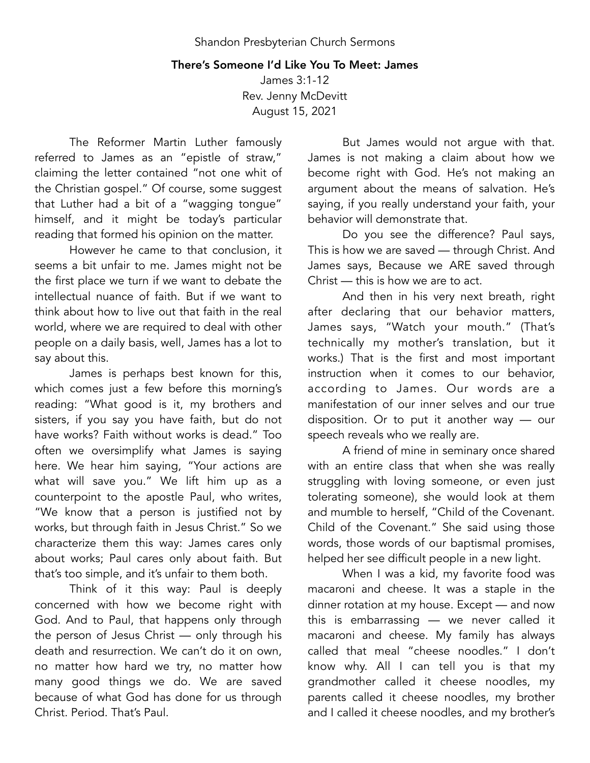## There's Someone I'd Like You To Meet: James

James 3:1-12 Rev. Jenny McDevitt August 15, 2021

The Reformer Martin Luther famously referred to James as an "epistle of straw," claiming the letter contained "not one whit of the Christian gospel." Of course, some suggest that Luther had a bit of a "wagging tongue" himself, and it might be today's particular reading that formed his opinion on the matter.

However he came to that conclusion, it seems a bit unfair to me. James might not be the first place we turn if we want to debate the intellectual nuance of faith. But if we want to think about how to live out that faith in the real world, where we are required to deal with other people on a daily basis, well, James has a lot to say about this.

James is perhaps best known for this, which comes just a few before this morning's reading: "What good is it, my brothers and sisters, if you say you have faith, but do not have works? Faith without works is dead." Too often we oversimplify what James is saying here. We hear him saying, "Your actions are what will save you." We lift him up as a counterpoint to the apostle Paul, who writes, "We know that a person is justified not by works, but through faith in Jesus Christ." So we characterize them this way: James cares only about works; Paul cares only about faith. But that's too simple, and it's unfair to them both.

Think of it this way: Paul is deeply concerned with how we become right with God. And to Paul, that happens only through the person of Jesus Christ — only through his death and resurrection. We can't do it on own, no matter how hard we try, no matter how many good things we do. We are saved because of what God has done for us through Christ. Period. That's Paul.

But James would not argue with that. James is not making a claim about how we become right with God. He's not making an argument about the means of salvation. He's saying, if you really understand your faith, your behavior will demonstrate that.

Do you see the difference? Paul says, This is how we are saved — through Christ. And James says, Because we ARE saved through Christ — this is how we are to act.

And then in his very next breath, right after declaring that our behavior matters, James says, "Watch your mouth." (That's technically my mother's translation, but it works.) That is the first and most important instruction when it comes to our behavior, according to James. Our words are a manifestation of our inner selves and our true disposition. Or to put it another way — our speech reveals who we really are.

A friend of mine in seminary once shared with an entire class that when she was really struggling with loving someone, or even just tolerating someone), she would look at them and mumble to herself, "Child of the Covenant. Child of the Covenant." She said using those words, those words of our baptismal promises, helped her see difficult people in a new light.

When I was a kid, my favorite food was macaroni and cheese. It was a staple in the dinner rotation at my house. Except — and now this is embarrassing — we never called it macaroni and cheese. My family has always called that meal "cheese noodles." I don't know why. All I can tell you is that my grandmother called it cheese noodles, my parents called it cheese noodles, my brother and I called it cheese noodles, and my brother's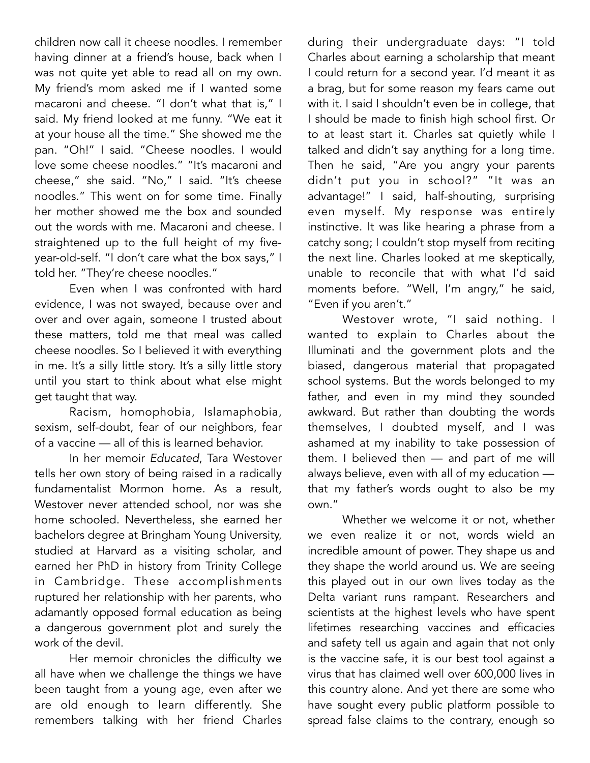children now call it cheese noodles. I remember having dinner at a friend's house, back when I was not quite yet able to read all on my own. My friend's mom asked me if I wanted some macaroni and cheese. "I don't what that is," I said. My friend looked at me funny. "We eat it at your house all the time." She showed me the pan. "Oh!" I said. "Cheese noodles. I would love some cheese noodles." "It's macaroni and cheese," she said. "No," I said. "It's cheese noodles." This went on for some time. Finally her mother showed me the box and sounded out the words with me. Macaroni and cheese. I straightened up to the full height of my fiveyear-old-self. "I don't care what the box says," I told her. "They're cheese noodles."

Even when I was confronted with hard evidence, I was not swayed, because over and over and over again, someone I trusted about these matters, told me that meal was called cheese noodles. So I believed it with everything in me. It's a silly little story. It's a silly little story until you start to think about what else might get taught that way.

Racism, homophobia, Islamaphobia, sexism, self-doubt, fear of our neighbors, fear of a vaccine — all of this is learned behavior.

In her memoir *Educated*, Tara Westover tells her own story of being raised in a radically fundamentalist Mormon home. As a result, Westover never attended school, nor was she home schooled. Nevertheless, she earned her bachelors degree at Bringham Young University, studied at Harvard as a visiting scholar, and earned her PhD in history from Trinity College in Cambridge. These accomplishments ruptured her relationship with her parents, who adamantly opposed formal education as being a dangerous government plot and surely the work of the devil.

Her memoir chronicles the difficulty we all have when we challenge the things we have been taught from a young age, even after we are old enough to learn differently. She remembers talking with her friend Charles

during their undergraduate days: "I told Charles about earning a scholarship that meant I could return for a second year. I'd meant it as a brag, but for some reason my fears came out with it. I said I shouldn't even be in college, that I should be made to finish high school first. Or to at least start it. Charles sat quietly while I talked and didn't say anything for a long time. Then he said, "Are you angry your parents didn't put you in school?" "It was an advantage!" I said, half-shouting, surprising even myself. My response was entirely instinctive. It was like hearing a phrase from a catchy song; I couldn't stop myself from reciting the next line. Charles looked at me skeptically, unable to reconcile that with what I'd said moments before. "Well, I'm angry," he said, "Even if you aren't."

Westover wrote, "I said nothing. I wanted to explain to Charles about the Illuminati and the government plots and the biased, dangerous material that propagated school systems. But the words belonged to my father, and even in my mind they sounded awkward. But rather than doubting the words themselves, I doubted myself, and I was ashamed at my inability to take possession of them. I believed then — and part of me will always believe, even with all of my education that my father's words ought to also be my own."

Whether we welcome it or not, whether we even realize it or not, words wield an incredible amount of power. They shape us and they shape the world around us. We are seeing this played out in our own lives today as the Delta variant runs rampant. Researchers and scientists at the highest levels who have spent lifetimes researching vaccines and efficacies and safety tell us again and again that not only is the vaccine safe, it is our best tool against a virus that has claimed well over 600,000 lives in this country alone. And yet there are some who have sought every public platform possible to spread false claims to the contrary, enough so